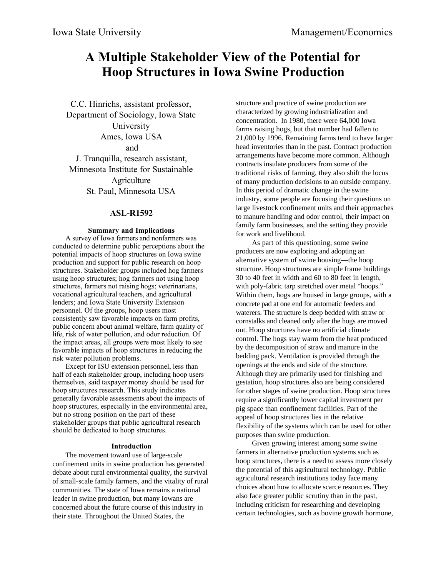# **A Multiple Stakeholder View of the Potential for Hoop Structures in Iowa Swine Production**

C.C. Hinrichs, assistant professor, Department of Sociology, Iowa State University Ames, Iowa USA and J. Tranquilla, research assistant, Minnesota Institute for Sustainable **Agriculture** St. Paul, Minnesota USA

# **ASL-R1592**

## **Summary and Implications**

A survey of Iowa farmers and nonfarmers was conducted to determine public perceptions about the potential impacts of hoop structures on Iowa swine production and support for public research on hoop structures. Stakeholder groups included hog farmers using hoop structures; hog farmers not using hoop structures, farmers not raising hogs; veterinarians, vocational agricultural teachers, and agricultural lenders; and Iowa State University Extension personnel. Of the groups, hoop users most consistently saw favorable impacts on farm profits, public concern about animal welfare, farm quality of life, risk of water pollution, and odor reduction. Of the impact areas, all groups were most likely to see favorable impacts of hoop structures in reducing the risk water pollution problems.

Except for ISU extension personnel, less than half of each stakeholder group, including hoop users themselves, said taxpayer money should be used for hoop structures research. This study indicates generally favorable assessments about the impacts of hoop structures, especially in the environmental area, but no strong position on the part of these stakeholder groups that public agricultural research should be dedicated to hoop structures.

#### **Introduction**

The movement toward use of large-scale confinement units in swine production has generated debate about rural environmental quality, the survival of small-scale family farmers, and the vitality of rural communities. The state of Iowa remains a national leader in swine production, but many Iowans are concerned about the future course of this industry in their state. Throughout the United States, the

structure and practice of swine production are characterized by growing industrialization and concentration. In 1980, there were 64,000 Iowa farms raising hogs, but that number had fallen to 21,000 by 1996. Remaining farms tend to have larger head inventories than in the past. Contract production arrangements have become more common. Although contracts insulate producers from some of the traditional risks of farming, they also shift the locus of many production decisions to an outside company. In this period of dramatic change in the swine industry, some people are focusing their questions on large livestock confinement units and their approaches to manure handling and odor control, their impact on family farm businesses, and the setting they provide for work and livelihood.

As part of this questioning, some swine producers are now exploring and adopting an alternative system of swine housing—the hoop structure. Hoop structures are simple frame buildings 30 to 40 feet in width and 60 to 80 feet in length, with poly-fabric tarp stretched over metal "hoops." Within them, hogs are housed in large groups, with a concrete pad at one end for automatic feeders and waterers. The structure is deep bedded with straw or cornstalks and cleaned only after the hogs are moved out. Hoop structures have no artificial climate control. The hogs stay warm from the heat produced by the decomposition of straw and manure in the bedding pack. Ventilation is provided through the openings at the ends and side of the structure. Although they are primarily used for finishing and gestation, hoop structures also are being considered for other stages of swine production. Hoop structures require a significantly lower capital investment per pig space than confinement facilities. Part of the appeal of hoop structures lies in the relative flexibility of the systems which can be used for other purposes than swine production.

Given growing interest among some swine farmers in alternative production systems such as hoop structures, there is a need to assess more closely the potential of this agricultural technology. Public agricultural research institutions today face many choices about how to allocate scarce resources. They also face greater public scrutiny than in the past, including criticism for researching and developing certain technologies, such as bovine growth hormone,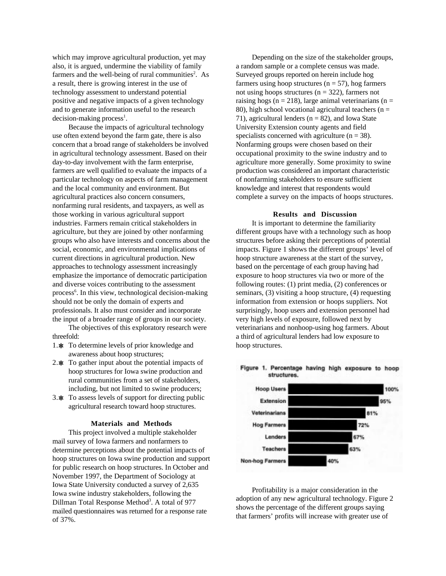which may improve agricultural production, yet may also, it is argued, undermine the viability of family farmers and the well-being of rural communities<sup>2</sup>. As a result, there is growing interest in the use of technology assessment to understand potential positive and negative impacts of a given technology and to generate information useful to the research  $decision-making process<sup>1</sup>.$ 

Because the impacts of agricultural technology use often extend beyond the farm gate, there is also concern that a broad range of stakeholders be involved in agricultural technology assessment. Based on their day-to-day involvement with the farm enterprise, farmers are well qualified to evaluate the impacts of a particular technology on aspects of farm management and the local community and environment. But agricultural practices also concern consumers, nonfarming rural residents, and taxpayers, as well as those working in various agricultural support industries. Farmers remain critical stakeholders in agriculture, but they are joined by other nonfarming groups who also have interests and concerns about the social, economic, and environmental implications of current directions in agricultural production. New approaches to technology assessment increasingly emphasize the importance of democratic participation and diverse voices contributing to the assessment process<sup>6</sup>. In this view, technological decision-making should not be only the domain of experts and professionals. It also must consider and incorporate the input of a broader range of groups in our society.

The objectives of this exploratory research were threefold:

- 1. $\text{\#}$  To determine levels of prior knowledge and awareness about hoop structures;
- 2.  $\ast$  To gather input about the potential impacts of hoop structures for Iowa swine production and rural communities from a set of stakeholders, including, but not limited to swine producers;
- 3. To assess levels of support for directing public agricultural research toward hoop structures.

#### **Materials and Methods**

This project involved a multiple stakeholder mail survey of Iowa farmers and nonfarmers to determine perceptions about the potential impacts of hoop structures on Iowa swine production and support for public research on hoop structures. In October and November 1997, the Department of Sociology at Iowa State University conducted a survey of 2,635 Iowa swine industry stakeholders, following the Dillman Total Response Method<sup>3</sup>. A total of 977 mailed questionnaires was returned for a response rate of 37%.

Depending on the size of the stakeholder groups, a random sample or a complete census was made. Surveyed groups reported on herein include hog farmers using hoop structures ( $n = 57$ ), hog farmers not using hoops structures ( $n = 322$ ), farmers not raising hogs ( $n = 218$ ), large animal veterinarians ( $n =$ 80), high school vocational agricultural teachers ( $n =$ 71), agricultural lenders ( $n = 82$ ), and Iowa State University Extension county agents and field specialists concerned with agriculture  $(n = 38)$ . Nonfarming groups were chosen based on their occupational proximity to the swine industry and to agriculture more generally. Some proximity to swine production was considered an important characteristic of nonfarming stakeholders to ensure sufficient knowledge and interest that respondents would complete a survey on the impacts of hoops structures.

## **Results and Discussion**

It is important to determine the familiarity different groups have with a technology such as hoop structures before asking their perceptions of potential impacts. Figure 1 shows the different groups' level of hoop structure awareness at the start of the survey, based on the percentage of each group having had exposure to hoop structures via two or more of the following routes: (1) print media, (2) conferences or seminars, (3) visiting a hoop structure, (4) requesting information from extension or hoops suppliers. Not surprisingly, hoop users and extension personnel had very high levels of exposure, followed next by veterinarians and nonhoop-using hog farmers. About a third of agricultural lenders had low exposure to hoop structures.



Figure 1. Percentage having high exposure to hoop structures

Profitability is a major consideration in the adoption of any new agricultural technology. Figure 2 shows the percentage of the different groups saying that farmers' profits will increase with greater use of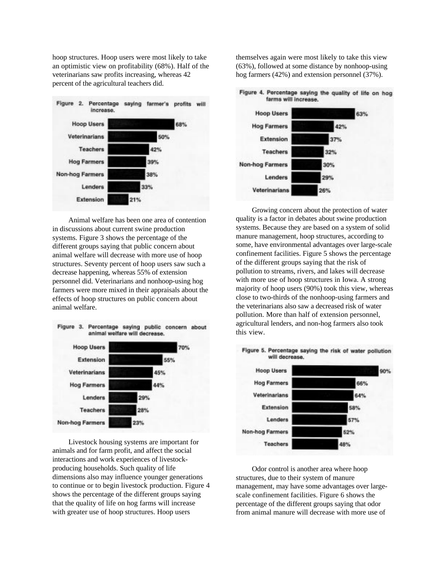hoop structures. Hoop users were most likely to take an optimistic view on profitability (68%). Half of the veterinarians saw profits increasing, whereas 42 percent of the agricultural teachers did.



Animal welfare has been one area of contention in discussions about current swine production systems. Figure 3 shows the percentage of the different groups saying that public concern about animal welfare will decrease with more use of hoop structures. Seventy percent of hoop users saw such a decrease happening, whereas 55% of extension personnel did. Veterinarians and nonhoop-using hog farmers were more mixed in their appraisals about the effects of hoop structures on public concern about animal welfare.



Livestock housing systems are important for animals and for farm profit, and affect the social interactions and work experiences of livestockproducing households. Such quality of life dimensions also may influence younger generations to continue or to begin livestock production. Figure 4 shows the percentage of the different groups saying that the quality of life on hog farms will increase with greater use of hoop structures. Hoop users

themselves again were most likely to take this view (63%), followed at some distance by nonhoop-using hog farmers (42%) and extension personnel (37%).

Figure 4. Percentage saying the quality of life on hog



Growing concern about the protection of water quality is a factor in debates about swine production systems. Because they are based on a system of solid manure management, hoop structures, according to some, have environmental advantages over large-scale confinement facilities. Figure 5 shows the percentage of the different groups saying that the risk of pollution to streams, rivers, and lakes will decrease with more use of hoop structures in Iowa. A strong majority of hoop users (90%) took this view, whereas close to two-thirds of the nonhoop-using farmers and the veterinarians also saw a decreased risk of water pollution. More than half of extension personnel, agricultural lenders, and non-hog farmers also took this view.



Odor control is another area where hoop structures, due to their system of manure management, may have some advantages over largescale confinement facilities. Figure 6 shows the percentage of the different groups saying that odor from animal manure will decrease with more use of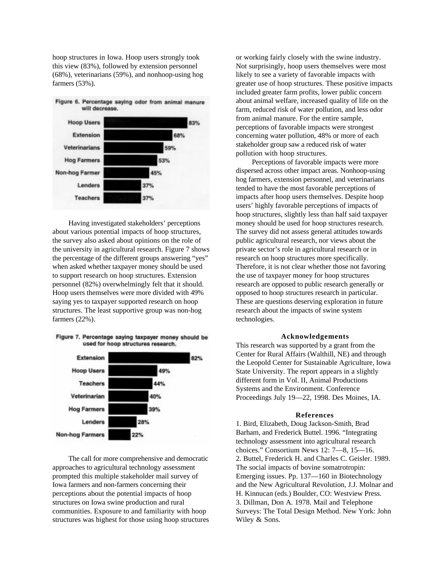hoop structures in Iowa. Hoop users strongly took this view (83%), followed by extension personnel (68%), veterinarians (59%), and nonhoop-using hog farmers (53%).



Having investigated stakeholders' perceptions about various potential impacts of hoop structures, the survey also asked about opinions on the role of the university in agricultural research. Figure 7 shows the percentage of the different groups answering "yes" when asked whether taxpayer money should be used to support research on hoop structures. Extension personnel (82%) overwhelmingly felt that it should. Hoop users themselves were more divided with 49% saying yes to taxpayer supported research on hoop structures. The least supportive group was non-hog farmers (22%).





The call for more comprehensive and democratic approaches to agricultural technology assessment prompted this multiple stakeholder mail survey of Iowa farmers and non-farmers concerning their perceptions about the potential impacts of hoop structures on Iowa swine production and rural communities. Exposure to and familiarity with hoop structures was highest for those using hoop structures or working fairly closely with the swine industry. Not surprisingly, hoop users themselves were most likely to see a variety of favorable impacts with greater use of hoop structures. These positive impacts included greater farm profits, lower public concern about animal welfare, increased quality of life on the farm, reduced risk of water pollution, and less odor from animal manure. For the entire sample, perceptions of favorable impacts were strongest concerning water pollution, 48% or more of each stakeholder group saw a reduced risk of water pollution with hoop structures.

Perceptions of favorable impacts were more dispersed across other impact areas. Nonhoop-using hog farmers, extension personnel, and veterinarians tended to have the most favorable perceptions of impacts after hoop users themselves. Despite hoop users' highly favorable perceptions of impacts of hoop structures, slightly less than half said taxpayer money should be used for hoop structures research. The survey did not assess general attitudes towards public agricultural research, nor views about the private sector's role in agricultural research or in research on hoop structures more specifically. Therefore, it is not clear whether those not favoring the use of taxpayer money for hoop structures research are opposed to public research generally or opposed to hoop structures research in particular. These are questions deserving exploration in future research about the impacts of swine system technologies.

## **Acknowledgements**

This research was supported by a grant from the Center for Rural Affairs (Walthill, NE) and through the Leopold Center for Sustainable Agriculture, Iowa State University. The report appears in a slightly different form in Vol. II, Animal Productions Systems and the Environment. Conference Proceedings July 19—22, 1998. Des Moines, IA.

#### **References**

1. Bird, Elizabeth, Doug Jackson-Smith, Brad Barham, and Frederick Buttel. 1996. "Integrating technology assessment into agricultural research choices." Consortium News 12: 7—8, 15—16. 2. Buttel, Frederick H. and Charles C. Geisler. 1989. The social impacts of bovine somatrotropin: Emerging issues. Pp. 137—160 in Biotechnology and the New Agricultural Revolution, J.J. Molnar and H. Kinnucan (eds.) Boulder, CO: Westview Press. 3. Dillman, Don A. 1978. Mail and Telephone Surveys: The Total Design Method. New York: John Wiley & Sons.